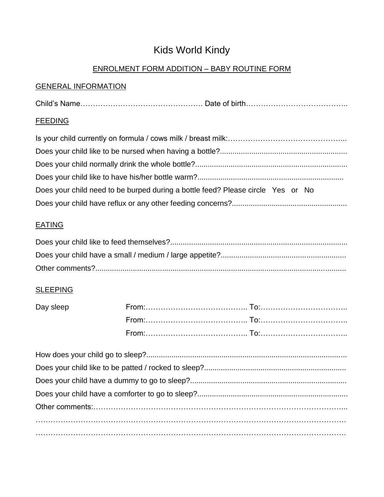## Kids World Kindy

#### ENROLMENT FORM ADDITION – BABY ROUTINE FORM

#### GENERAL INFORMATION

Child's Name…………………………………………. Date of birth…………………………………..

#### **FEEDING**

| Does your child need to be burped during a bottle feed? Please circle Yes or No |
|---------------------------------------------------------------------------------|
|                                                                                 |

#### **EATING**

#### **SLEEPING**

| Day sleep |  |
|-----------|--|
|           |  |
|           |  |